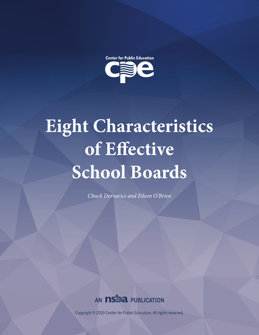

# **Eight Characteristics of Effective School Boards**

*Chuck Dervarics and Eileen O'Brien*



Copyright © 2019 Center for Public Education. All rights reserved.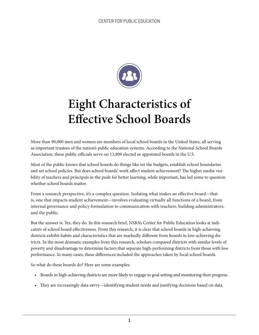

# **Eight Characteristics of Effective School Boards**

More than 90,000 men and women are members of local school boards in the United States, all serving as important trustees of the nation's public education systems. According to the National School Boards Association, these public officials serve on 13,809 elected or appointed boards in the U.S.

Most of the public knows that school boards do things like set the budgets, establish school boundaries and set school policies. But does school boards' work affect student achievement? The higher media visibility of teachers and principals in the push for better learning, while important, has led some to question whether school boards matter.

From a research perspective, it's a complex question. Isolating what makes an effective board—that is, one that impacts student achievement—involves evaluating virtually all functions of a board, from internal governance and policy formulation to communication with teachers, building administrators, and the public.

But the answer is: Yes, they do. In this research brief, NSBA's Center for Public Education looks at indicators of school board effectiveness. From this research, it is clear that school boards in high-achieving districts exhibit habits and characteristics that are markedly different from boards in low-achieving districts. In the most dramatic examples from this research, scholars compared districts with similar levels of poverty and disadvantage to determine factors that separate high-performing districts from those with low performance. In many cases, these differences included the approaches taken by local school boards.

So what do these boards do? Here are some examples:

- Boards in high-achieving districts are more likely to engage in goal setting and monitoring their progress.
- They are increasingly data savvy—identifying student needs and justifying decisions based on data.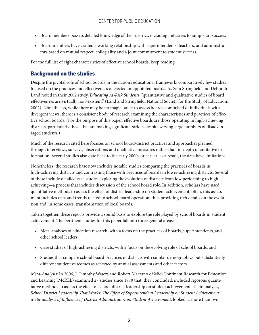- Board members possess detailed knowledge of their district, including initiatives to jump-start success.
- Board members have crafted a working relationship with superintendents, teachers, and administrators based on mutual respect, collegiality and a joint commitment to student success.

For the full list of eight characteristics of effective school boards, keep reading.

# Background on the studies

Despite the pivotal role of school boards in the nation's educational framework, comparatively few studies focused on the practices and effectiveness of elected or appointed boards. As Sam Stringfield and Deborah Land noted in their 2002 study, *Educating At-Risk Students*, "quantitative and qualitative studies of board effectiveness are virtually non-existent," (Land and Stringfield, National Society for the Study of Education, 2002). Nonetheless, while there may be no magic bullet to assess boards comprised of individuals with divergent views, there is a consistent body of research examining the characteristics and practices of effective school boards. (For the purpose of this paper, effective boards are those operating in high-achieving districts, particularly those that are making significant strides despite serving large numbers of disadvantaged students.)

Much of the research cited here focuses on school board/district practices and approaches gleaned through interviews, surveys, observations and qualitative measures rather than in-depth quantitative information. Several studies also date back to the early 2000s or earlier; as a result, the data have limitations.

Nonetheless, the research base now includes notable studies comparing the practices of boards in high-achieving districts and contrasting those with practices of boards in lower-achieving districts. Several of these include detailed case studies exploring the evolution of districts from low performing to high achieving—a process that includes discussion of the school board role. In addition, scholars have used quantitative methods to assess the effect of district leadership on student achievement; often, this assessment includes data and trends related to school board operation, thus providing rich details on the evolution and, in some cases, transformation of local boards.

Taken together, these reports provide a sound basis to explore the role played by school boards in student achievement. The pertinent studies for this paper fall into three general areas:

- Meta-analyses of education research, with a focus on the practices of boards, superintendents, and other school leaders;
- Case studies of high-achieving districts, with a focus on the evolving role of school boards; and
- Studies that compare school board practices in districts with similar demographics but substantially different student outcomes as reflected by annual assessments and other factors.

*Meta-Analysis*: In 2006, J. Timothy Waters and Robert Marzano of Mid-Continent Research for Education and Learning (McREL) examined 27 studies since 1970 that, they concluded, included rigorous quantitative methods to assess the effect of school district leadership on student achievement. Their analysis, *School District Leadership That Works: The Effect of Superintendent Leadership on Student Achievement: Meta-analysis of Influence of District Administrators on Student Achievement*, looked at more than two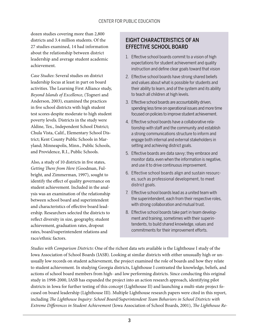dozen studies covering more than 2,800 districts and 3.4 million students. Of the 27 studies examined, 14 had information about the relationship between district leadership and average student academic achievement.

*Case Studies*: Several studies on district leadership focus at least in part on board activities. The Learning First Alliance study, *Beyond Islands of Excellence*, (Togneri and Anderson, 2003), examined the practices in five school districts with high student test scores despite moderate to high student poverty levels. Districts in the study were Aldine, Tex., Independent School District; Chula Vista, Calif., Elementary School District; Kent County Public Schools in Maryland; Minneapolis, Minn., Public Schools, and Providence, R.I., Public Schools.

Also, a study of 10 districts in five states, *Getting There from Here* (Goodman, Fulbright, and Zimmerman, 1997), sought to identify the effect of quality governance on student achievement. Included in the analysis was an examination of the relationship between school board and superintendent and characteristics of effective board leadership. Researchers selected the districts to reflect diversity in size, geography, student achievement, graduation rates, dropout rates, board/superintendent relations and race/ethnic factors.

# EIGHT CHARACTERISTICS OF AN EFFECTIVE SCHOOL BOARD

- 1. Effective school boards commit to a vision of high expectations for student achievement and quality instruction and define clear goals toward that vision
- 2. Effective school boards have strong shared beliefs and values about what is possible for students and their ability to learn, and of the system and its ability to teach all children at high levels.
- 3. Effective school boards are accountability driven, spending less time on operational issues and more time focused on policies to improve student achievement.
- 4. Effective school boards have a collaborative relationship with staff and the community and establish a strong communications structure to inform and engage both internal and external stakeholders in setting and achieving district goals.
- 5. Effective boards are data savvy; they embrace and monitor data, even when the information is negative, and use it to drive continuous improvement.
- 6. Effective school boards align and sustain resources, such as professional development, to meet district goals.
- 7. Effective school boards lead as a united team with the superintendent, each from their respective roles, with strong collaboration and mutual trust.
- 8. Effective school boards take part in team development and training, sometimes with their superintendents, to build shared knowledge, values and commitments for their improvement efforts.

*Studies with Comparison Districts*: One of the richest data sets available is the Lighthouse I study of the Iowa Association of School Boards (IASB). Looking at similar districts with either unusually high or unusually low records on student achievement, the project examined the role of boards and how they relate to student achievement. In studying Georgia districts, Lighthouse I contrasted the knowledge, beliefs, and actions of school board members from high- and low performing districts. Since conducting this original study in 1998-2000, IASB has expanded the project into an action research approach, identifying pilot districts in Iowa for further testing of this concept (Lighthouse II) and launching a multi-state project focused on board leadership (Lighthouse III). Multiple Lighthouse research papers were cited in this report, including *The Lighthouse Inquiry: School Board/Superintendent Team Behaviors in School Districts with Extreme Differences in Student Achievement* (Iowa Association of School Boards, 2001), *The Lighthouse Re-*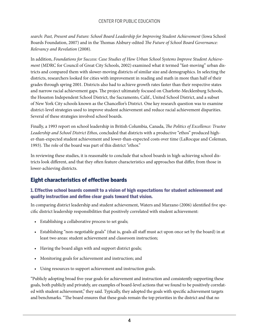*search: Past, Present and Future: School Board Leadership for Improving Student Achievement* (Iowa School Boards Foundation, 2007) and in the Thomas Alsbury-edited *The Future of School Board Governance: Relevancy and Revelation* (2008).

In addition, *Foundations for Success: Case Studies of How Urban School Systems Improve Student Achievement* (MDRC for Council of Great City Schools, 2002) examined what it termed "fast-moving" urban districts and compared them with slower-moving districts of similar size and demographics. In selecting the districts, researchers looked for cities with improvement in reading and math in more than half of their grades through spring 2001. Districts also had to achieve growth rates faster than their respective states and narrow racial achievement gaps. The project ultimately focused on Charlotte-Mecklenburg Schools, the Houston Independent School District, the Sacramento, Calif., United School District, and a subset of New York City schools known as the Chancellor's District. One key research question was to examine district-level strategies used to improve student achievement and reduce racial achievement disparities. Several of these strategies involved school boards.

Finally, a 1993 report on school leadership in British Columbia, Canada, *The Politics of Excellence: Trustee Leadership and School District Ethos*, concluded that districts with a productive "ethos" produced higher-than-expected student achievement and lower-than-expected costs over time (LaRocque and Coleman, 1993). The role of the board was part of this district "ethos."

In reviewing these studies, it is reasonable to conclude that school boards in high-achieving school districts look different, and that they often feature characteristics and approaches that differ, from those in lower-achieving districts.

### Eight characteristics of effective boards

#### 1. Effective school boards commit to a vision of high expectations for student achievement and quality instruction and define clear goals toward that vision.

In comparing district leadership and student achievement, Waters and Marzano (2006) identified five specific district leadership responsibilities that positively correlated with student achievement:

- Establishing a collaborative process to set goals;
- Establishing "non-negotiable goals" (that is, goals all staff must act upon once set by the board) in at least two areas: student achievement and classroom instruction;
- Having the board align with and support district goals;
- Monitoring goals for achievement and instruction; and
- Using resources to support achievement and instruction goals.

"Publicly adopting broad five-year goals for achievement and instruction and consistently supporting these goals, both publicly and privately, are examples of board-level actions that we found to be positively correlated with student achievement," they said. Typically, they adopted the goals with specific achievement targets and benchmarks. "The board ensures that these goals remain the top priorities in the district and that no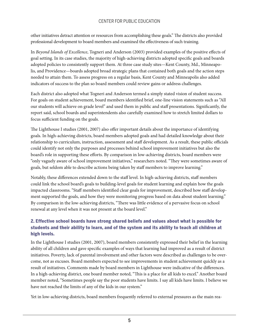other initiatives detract attention or resources from accomplishing these goals." The districts also provided professional development to board members and examined the effectiveness of such training.

In *Beyond Islands of Excellence*, Togneri and Anderson (2003) provided examples of the positive effects of goal setting. In its case studies, the majority of high-achieving districts adopted specific goals and boards adopted policies to consistently support them. At three case study sites—Kent County, Md., Minneapolis, and Providence—boards adopted broad strategic plans that contained both goals and the action steps needed to attain them. To assess progress on a regular basis, Kent County and Minneapolis also added indicators of success to the plan so board members could review gains or address challenges.

Each district also adopted what Togneri and Anderson termed a simply stated vision of student success. For goals on student achievement, board members identified brief, one-line vision statements such as "All our students will achieve on grade level" and used them in public and staff presentations. Significantly, the report said, school boards and superintendents also carefully examined how to stretch limited dollars to focus sufficient funding on the goals.

The Lighthouse I studies (2001, 2007) also offer important details about the importance of identifying goals. In high-achieving districts, board members adopted goals and had detailed knowledge about their relationship to curriculum, instruction, assessment and staff development. As a result, these public officials could identify not only the purposes and processes behind school improvement initiatives but also the board's role in supporting these efforts. By comparison in low-achieving districts, board members were "only vaguely aware of school improvement initiatives," researchers noted. "They were sometimes aware of goals, but seldom able to describe actions being taken by staff members to improve learning."

Notably, these differences extended down to the staff level. In high-achieving districts, staff members could link the school board's goals to building-level goals for student learning and explain how the goals impacted classrooms. "Staff members identified clear goals for improvement, described how staff development supported the goals, and how they were monitoring progress based on data about student learning." By comparison in the low-achieving districts, "There was little evidence of a pervasive focus on school renewal at any level when it was not present at the board level."

#### 2. Effective school boards have strong shared beliefs and values about what is possible for students and their ability to learn, and of the system and its ability to teach all children at high levels.

In the Lighthouse I studies (2001, 2007), board members consistently expressed their belief in the learning ability of all children and gave specific examples of ways that learning had improved as a result of district initiatives. Poverty, lack of parental involvement and other factors were described as challenges to be overcome, not as excuses. Board members expected to see improvements in student achievement quickly as a result of initiatives. Comments made by board members in Lighthouse were indicative of the differences. In a high-achieving district, one board member noted, "This is a place for all kids to excel." Another board member noted, "Sometimes people say the poor students have limits. I say all kids have limits. I believe we have not reached the limits of any of the kids in our system."

Yet in low-achieving districts, board members frequently referred to external pressures as the main rea-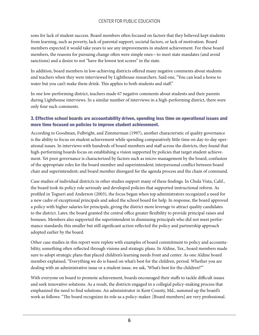sons for lack of student success. Board members often focused on factors that they believed kept students from learning, such as poverty, lack of parental support, societal factors, or lack of motivation. Board members expected it would take years to see any improvements in student achievement. For these board members, the reasons for pursuing change often were simple ones—to meet state mandates (and avoid sanctions) and a desire to not "have the lowest test scores" in the state.

In addition, board members in low-achieving districts offered many negative comments about students and teachers when they were interviewed by Lighthouse researchers. Said one, "You can lead a horse to water but you can't make them drink. This applies to both students and staff."

In one low-performing district, teachers made 67 negative comments about students and their parents during Lighthouse interviews. In a similar number of interviews in a high-performing district, there were only four such comments.

#### 3. Effective school boards are accountability driven, spending less time on operational issues and more time focused on policies to improve student achievement.

According to Goodman, Fulbright, and Zimmerman (1997), another characteristic of quality governance is the ability to focus on student achievement while spending comparatively little time on day-to-day operational issues. In interviews with hundreds of board members and staff across the districts, they found that high-performing boards focus on establishing a vision supported by policies that target student achievement. Yet poor governance is characterized by factors such as micro-management by the board; confusion of the appropriate roles for the board member and superintendent; interpersonal conflict between board chair and superintendent; and board member disregard for the agenda process and the chain of command.

Case studies of individual districts in other studies support many of these findings. In Chula Vista, Calif., the board took its policy role seriously and developed policies that supported instructional reform. As profiled in Togneri and Anderson (2003), the focus began when top administrators recognized a need for a new cadre of exceptional principals and asked the school board for help. In response, the board approved a policy with higher salaries for principals, giving the district more leverage to attract quality candidates to the district. Later, the board granted the central office greater flexibility to provide principal raises and bonuses. Members also supported the superintendent in dismissing principals who did not meet performance standards; this smaller but still significant action reflected the policy and partnership approach adopted earlier by the board.

Other case studies in this report were replete with examples of board commitment to policy and accountability, something often reflected through visions and strategic plans. In Aldine, Tex., board members made sure to adopt strategic plans that placed children's learning needs front and center. As one Aldine board member explained, "Everything we do is based on what's best for the children, period. Whether you are dealing with an administrative issue or a student issue, we ask, 'What's best for the children?'"

With everyone on board to promote achievement, boards encouraged their staffs to tackle difficult issues and seek innovative solutions. As a result, the districts engaged in a collegial policy-making process that emphasized the need to find solutions. An administrator in Kent County, Md., summed up the board's work as follows: "The board recognizes its role as a policy-maker. [Board members] are very professional.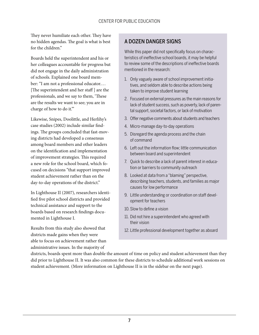They never humiliate each other. They have no hidden agendas. The goal is what is best for the children"

Boards held the superintendent and his or her colleagues accountable for progress but did not engage in the daily administration of schools. Explained one board member: "I am not a professional educator.… [The superintendent and her staff ] are the professionals, and we say to them, 'These are the results we want to see; you are in charge of how to do it.'"

Likewise, Snipes, Doolittle, and Herlihy's case studies (2002) include similar findings. The groups concluded that fast-moving districts had developed a consensus among board members and other leaders on the identification and implementation of improvement strategies. This required a new role for the school board, which focused on decisions "that support improved student achievement rather than on the day-to-day operations of the district."

In Lighthouse II (2007), researchers identified five pilot school districts and provided technical assistance and support to the boards based on research findings documented in Lighthouse I.

Results from this study also showed that districts made gains when they were able to focus on achievement rather than administrative issues. In the majority of

#### A DOZEN DANGER SIGNS

While this paper did not specifically focus on characteristics of ineffective school boards, it may be helpful to review some of the descriptions of ineffective boards mentioned in the research:

- 1. Only vaguely aware of school improvement initiatives, and seldom able to describe actions being taken to improve student learning
- 2. Focused on external pressures as the main reasons for lack of student success, such as poverty, lack of parental support, societal factors, or lack of motivation
- 3. Offer negative comments about students and teachers
- 4. Micro-manage day-to-day operations
- 5. Disregard the agenda process and the chain of command
- 6. Left out the information flow; little communication between board and superintendent
- 7. Quick to describe a lack of parent interest in education or barriers to community outreach
- 8. Looked at data from a "blaming" perspective, describing teachers, students, and families as major causes for low performance
- 9. Little understanding or coordination on staff development for teachers
- 10. Slow to define a vision
- 11. Did not hire a superintendent who agreed with their vision
- 12. Little professional development together as aboard

districts, boards spent more than double the amount of time on policy and student achievement than they did prior to Lighthouse II. It was also common for these districts to schedule additional work sessions on student achievement. (More information on Lighthouse II is in the sidebar on the next page).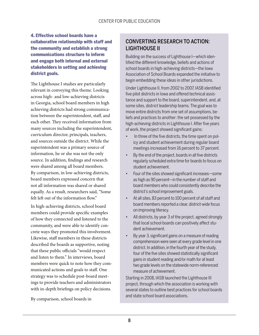4. Effective school boards have a collaborative relationship with staff and the community and establish a strong communications structure to inform and engage both internal and external stakeholders in setting and achieving district goals.

The Lighthouse I studies are particularly relevant in conveying this theme. Looking across high- and low-achieving districts in Georgia, school board members in high achieving districts had strong communication between the superintendent, staff, and each other. They received information from many sources including the superintendent, curriculum director, principals, teachers, and sources outside the district. While the superintendent was a primary source of information, he or she was not the only source. In addition, findings and research were shared among all board members. By comparison, in low-achieving districts, board members expressed concern that not all information was shared or shared equally. As a result, researchers said, "Some felt left out of the information flow"

In high-achieving districts, school board members could provide specific examples of how they connected and listened to the community, and were able to identify concrete ways they promoted this involvement. Likewise, staff members in these districts described the boards as supportive, noting that these public officials "would respect and listen to them." In interviews, board members were quick to note how they communicated actions and goals to staff. One strategy was to schedule post-board meetings to provide teachers and administrators with in-depth briefings on policy decisions.

By comparison, school boards in

## CONVERTING RESEARCH TO ACTION: LIGHTHOUSE II

Building on the success of Lighthouse I—which identified the different knowledge, beliefs and actions of school boards in high-achieving districts—the Iowa Association of School Boards expanded the initiative to begin embedding these ideas in other jurisdictions.

Under Lighthouse II, from 2002 to 2007, IASB identified five pilot districts in Iowa and offered technical assistance and support to the board, superintendent, and, at some sites, district leadership teams. The goal was to move entire districts from one set of assumptions, beliefs and practices to another: the set possessed by the high-achieving districts in Lighthouse I. After five years of work, the project showed significant gains:

- In three of the five districts, the time spent on policy and student achievement during regular board meetings increased from 16 percent to 37 percent.
- By the end of the project, boards in all five districts regularly scheduled extra time for boards to focus on student achievement.
- Four of the sites showed significant increases—some as high as 90 percent—in the number of staff and board members who could consistently describe the district's school improvement goals.
- At all sites, 83 percent to 100 percent of all staff and board members reported a clear, district-wide focus on improving literacy.
- All districts, by year 3 of the project, agreed strongly that local school boards can positively affect student achievement.
- By year 3, significant gains on a measure of reading comprehension were seen at every grade level in one district. In addition, in the fourth year of the study, four of the five sites showed statistically significant gains in student reading and/or math for at least two grade levels on the statewide norm-referenced measure of achievement.

Starting in 2008, IASB launched the Lighthouse III project, through which the association is working with several states to outline best practices for school boards and state school board associations.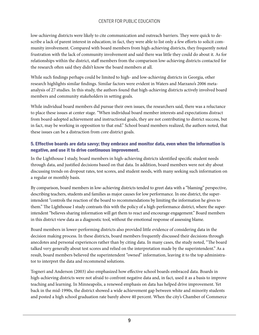low-achieving districts were likely to cite communication and outreach barriers. They were quick to describe a lack of parent interest in education; in fact, they were able to list only a few efforts to solicit community involvement. Compared with board members from high-achieving districts, they frequently noted frustration with the lack of community involvement and said there was little they could do about it. As for relationships within the district, staff members from the comparison low-achieving districts contacted for the research often said they didn't know the board members at all.

While such findings perhaps could be limited to high- and low-achieving districts in Georgia, other research highlights similar findings. Similar factors were evident in Waters and Marzano's 2006 metaanalysis of 27 studies. In this study, the authors found that high-achieving districts actively involved board members and community stakeholders in setting goals.

While individual board members did pursue their own issues, the researchers said, there was a reluctance to place these issues at center stage. "When individual board member interests and expectations distract from board-adopted achievement and instructional goals, they are not contributing to district success, but in fact, may be working in opposition to that end." School board members realized, the authors noted, that these issues can be a distraction from core district goals.

#### 5. Effective boards are data savvy; they embrace and monitor data, even when the information is negative, and use it to drive continuous improvement.

In the Lighthouse I study, board members in high-achieving districts identified specific student needs through data, and justified decisions based on that data. In addition, board members were not shy about discussing trends on dropout rates, test scores, and student needs, with many seeking such information on a regular or monthly basis.

By comparison, board members in low-achieving districts tended to greet data with a "blaming" perspective, describing teachers, students and families as major causes for low performance. In one district, the superintendent "controls the reaction of the board to recommendations by limiting the information he gives to them." The Lighthouse I study contrasts this with the policy of a high-performance district, where the superintendent "believes sharing information will get them to react and encourage engagement." Board members in this district view data as a diagnostic tool, without the emotional response of assessing blame.

Board members in lower-performing districts also provided little evidence of considering data in the decision making process. In these districts, board members frequently discussed their decisions through anecdotes and personal experiences rather than by citing data. In many cases, the study noted, "The board talked very generally about test scores and relied on the interpretation made by the superintendent." As a result, board members believed the superintendent "owned" information, leaving it to the top administrator to interpret the data and recommend solutions.

Togneri and Anderson (2003) also emphasized how effective school boards embraced data. Boards in high-achieving districts were not afraid to confront negative data and, in fact, used it as a basis to improve teaching and learning. In Minneapolis, a renewed emphasis on data has helped drive improvement. Yet back in the mid-1990s, the district showed a wide achievement gap between white and minority students and posted a high school graduation rate barely above 40 percent. When the city's Chamber of Commerce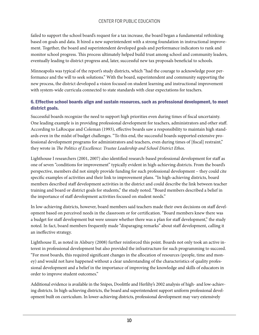failed to support the school board's request for a tax increase, the board began a fundamental rethinking based on goals and data. It hired a new superintendent with a strong foundation in instructional improvement. Together, the board and superintendent developed goals and performance indicators to rank and monitor school progress. This process ultimately helped build trust among school and community leaders, eventually leading to district progress and, later, successful new tax proposals beneficial to schools.

Minneapolis was typical of the report's study districts, which "had the courage to acknowledge poor performance and the will to seek solutions." With the board, superintendent and community supporting the new process, the district developed a vision focused on student learning and instructional improvement with system-wide curricula connected to state standards with clear expectations for teachers.

#### 6. Effective school boards align and sustain resources, such as professional development, to meet district goals.

Successful boards recognize the need to support high priorities even during times of fiscal uncertainty. One leading example is in providing professional development for teachers, administrators and other staff. According to LaRocque and Coleman (1993), effective boards saw a responsibility to maintain high standards even in the midst of budget challenges. "To this end, the successful boards supported extensive professional development programs for administrators and teachers, even during times of [fiscal] restraint," they wrote in *The Politics of Excellence: Trustee Leadership and School District Ethos*.

Lighthouse I researchers (2001, 2007) also identified research-based professional development for staff as one of seven "conditions for improvement" typically evident in high-achieving districts. From the board's perspective, members did not simply provide funding for such professional development – they could cite specific examples of activities and their link to improvement plans. "In high-achieving districts, board members described staff development activities in the district and could describe the link between teacher training and board or district goals for students," the study noted. "Board members described a belief in the importance of staff development activities focused on student needs."

In low-achieving districts, however, board members said teachers made their own decisions on staff development based on perceived needs in the classroom or for certification. "Board members knew there was a budget for staff development but were unsure whether there was a plan for staff development," the study noted. In fact, board members frequently made "disparaging remarks" about staff development, calling it an ineffective strategy.

Lighthouse II, as noted in Alsbury (2008) further reinforced this point. Boards not only took an active interest in professional development but also provided the infrastructure for such programming to succeed. "For most boards, this required significant changes in the allocation of resources (people, time and money) and would not have happened without a clear understanding of the characteristics of quality professional development and a belief in the importance of improving the knowledge and skills of educators in order to improve student outcomes."

Additional evidence is available in the Snipes, Doolittle and Herlihy's 2002 analysis of high- and low-achieving districts. In high-achieving districts, the board and superintendent support uniform professional development built on curriculum. In lower-achieving districts, professional development may vary extensively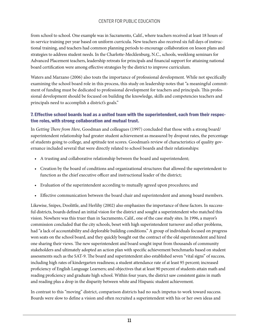from school to school. One example was in Sacramento, Calif., where teachers received at least 18 hours of in-service training per year based on uniform curricula. New teachers also received six full days of instructional training, and teachers had common planning periods to encourage collaboration on lesson plans and strategies to address student needs. In the Charlotte-Mecklenburg, N.C., schools, weeklong seminars for Advanced Placement teachers, leadership retreats for principals and financial support for attaining national board certification were among effective strategies by the district to improve curriculum.

Waters and Marzano (2006) also touts the importance of professional development. While not specifically examining the school board role in this process, this study on leadership notes that "a meaningful commitment of funding must be dedicated to professional development for teachers and principals. This professional development should be focused on building the knowledge, skills and competencies teachers and principals need to accomplish a district's goals."

#### 7. Effective school boards lead as a united team with the superintendent, each from their respective roles, with strong collaboration and mutual trust.

In *Getting There from Here*, Goodman and colleagues (1997) concluded that those with a strong board/ superintendent relationship had greater student achievement as measured by dropout rates, the percentage of students going to college, and aptitude test scores. Goodman's review of characteristics of quality governance included several that were directly related to school boards and their relationships:

- A trusting and collaborative relationship between the board and superintendent;
- Creation by the board of conditions and organizational structures that allowed the superintendent to function as the chief executive officer and instructional leader of the district;
- Evaluation of the superintendent according to mutually agreed upon procedures; and
- Effective communication between the board chair and superintendent and among board members.

Likewise, Snipes, Doolittle, and Herlihy (2002) also emphasizes the importance of these factors. In successful districts, boards defined an initial vision for the district and sought a superintendent who matched this vision. Nowhere was this truer than in Sacramento, Calif., one of the case study sites. In 1996, a mayor's commission concluded that the city schools, beset with high superintendent turnover and other problems, had "a lack of accountability and deplorable building conditions." A group of individuals focused on progress won seats on the school board, and they quickly bought out the contract of the old superintendent and hired one sharing their views. The new superintendent and board sought input from thousands of community stakeholders and ultimately adopted an action plan with specific achievement benchmarks based on student assessments such as the SAT-9. The board and superintendent also established seven "vital signs" of success, including high rates of kindergarten readiness; a student attendance rate of at least 95 percent; increased proficiency of English Language Learners; and objectives that at least 90 percent of students attain math and reading proficiency and graduate high school. Within four years, the district saw consistent gains in math and reading plus a drop in the disparity between white and Hispanic student achievement.

In contrast to this "moving" district, comparison districts had no such impetus to work toward success. Boards were slow to define a vision and often recruited a superintendent with his or her own ideas and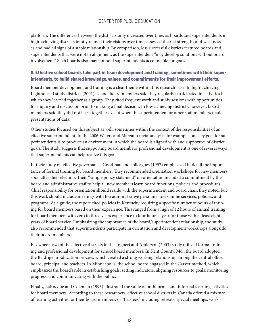platform. The differences between the districts only increased over time, as boards and superintendents in high-achieving districts jointly refined their visions over time, assessed district strengths and weaknesses and had all signs of a stable relationship. By comparison, less successful districts featured boards and superintendents that were not in alignment, as the superintendent "may develop solutions without board involvement." Such boards also may not hold superintendents accountable for goals.

#### 8. Effective school boards take part in team development and training, sometimes with their superintendents, to build shared knowledge, values, and commitments for their improvement efforts.

Board member development and training is a clear theme within this research base. In high-achieving Lighthouse I study districts (2001), school board members said they regularly participated in activities in which they learned together as a group. They cited frequent work and study sessions with opportunities for inquiry and discussion prior to making a final decision. In low-achieving districts, however, board members said they did not learn together except when the superintendent or other staff members made presentations of data.

Other studies focused on this subject as well, sometimes within the context of the responsibilities of an effective superintendent. In the 2006 Waters and Marzano meta-analysis, for example, one key goal for superintendents is to produce an environment in which the board is aligned with and supportive of district goals. The study suggests that supporting board members' professional development is one of several ways that superintendents can help realize this goal.

In their study on effective governance, Goodman and colleagues (1997) emphasized in detail the importance of formal training for board members. They recommended orientation workshops for new members soon after their election. Their "sample policy statement" on orientation included a commitment by the board and administrative staff to help all new members learn board functions, policies and procedures. Chief responsibility for orientation should reside with the superintendent and board chair, they noted, but this work should include meetings with top administrative personnel to examine services, policies, and programs. As a guide, the report cited policies in Kentucky requiring a specific number of hours of training for board members based on their experience. This ranged from a high of 12 hours of annual training for board members with zero to three years experience to four hours a year for those with at least eight years of board service. Emphasizing the importance of the board/superintendent relationship, the study also recommended that superintendents participate in orientation and development workshops alongside their board members.

Elsewhere, two of the effective districts in the Togneri and Anderson (2003) study utilized formal training and professional development for school board members. In Kent County, Md., the board adopted the Baldrige in Education process, which created a strong working relationship among the central office, board, principal and teachers. In Minneapolis, the school board engaged in the Carver method, which emphasizes the board's role in establishing goals, setting indicators, aligning resources to goals, monitoring progress, and communicating with the public.

Finally, LaRocque and Coleman (1993) illustrated the value of both formal and informal learning activities for board members. According to these researchers, effective school districts in Canada offered a mixture of learning activities for their board members, or "trustees," including retreats, special meetings, work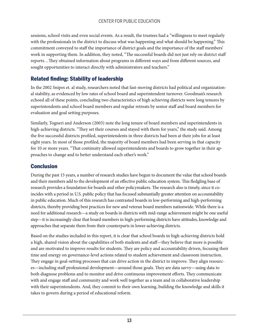sessions, school visits and even social events. As a result, the trustees had a "willingness to meet regularly with the professionals in the district to discuss what was happening and what should be happening." This commitment conveyed to staff the importance of district goals and the importance of the staff members' work in supporting them. In addition, they noted, "The successful boards did not just rely on district staff reports…They obtained information about programs in different ways and from different sources, and sought opportunities to interact directly with administrators and teachers."

# Related finding: Stability of leadership

In the 2002 Snipes et. al study, researchers noted that fast-moving districts had political and organizational stability, as evidenced by low rates of school board and superintendent turnover. Goodman's research echoed all of these points, concluding two characteristics of high achieving districts were long tenures by superintendents and school board members and regular retreats by senior staff and board members for evaluation and goal setting purposes.

Similarly, Togneri and Anderson (2003) note the long tenure of board members and superintendents in high-achieving districts. "They set their courses and stayed with them for years," the study said. Among the five successful districts profiled, superintendents in three districts had been at their jobs for at least eight years. In most of those profiled, the majority of board members had been serving in that capacity for 10 or more years. "That continuity allowed superintendents and boards to grow together in their approaches to change and to better understand each other's work."

### **Conclusion**

During the past 15 years, a number of research studies have begun to document the value that school boards and their members add to the development of an effective public education system. This fledgling base of research provides a foundation for boards and other policymakers. The research also is timely, since it coincides with a period in U.S. public policy that has focused substantially greater attention on accountability in public education. Much of this research has contrasted boards in low-performing and high-performing districts, thereby providing best practices for new and veteran board members nationwide. While there is a need for additional research—a study on boards in districts with mid-range achievement might be one useful step—it is increasingly clear that board members in high-performing districts have attitudes, knowledge and approaches that separate them from their counterparts in lower-achieving districts.

Based on the studies included in this report, it is clear that school boards in high-achieving districts hold a high, shared vision about the capabilities of both students and staff—they believe that more is possible and are motivated to improve results for students. They are policy and accountability driven, focusing their time and energy on governance-level actions related to student achievement and classroom instruction. They engage in goal-setting processes that can drive action in the district to improve. They align resources—including staff professional development—around those goals. They are data savvy—using data to both diagnose problems and to monitor and drive continuous improvement efforts. They communicate with and engage staff and community and work well together as a team and in collaborative leadership with their superintendents. And, they commit to their own learning, building the knowledge and skills it takes to govern during a period of educational reform.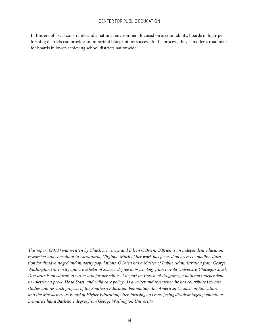In this era of fiscal constraints and a national environment focused on accountability, boards in high-performing districts can provide an important blueprint for success. In the process, they can offer a road map for boards in lower-achieving school districts nationwide.

*This report (2011) was written by Chuck Dervarics and Eileen O'Brien. O'Brien is an independent education researcher and consultant in Alexandria, Virginia. Much of her work has focused on access to quality education for disadvantaged and minority populations. O'Brien has a Master of Public Administration from George Washington University and a Bachelor of Science degree in psychology from Loyola University, Chicago. Chuck Dervarics is an education writer and former editor of Report on Preschool Programs, a national independent newsletter on pre-k, Head Start, and child care policy. As a writer and researcher, he has contributed to case studies and research projects of the Southern Education Foundation, the American Council on Education, and the Massachusetts Board of Higher Education, often focusing on issues facing disadvantaged populations. Dervarics has a Bachelors degree from George Washington University.*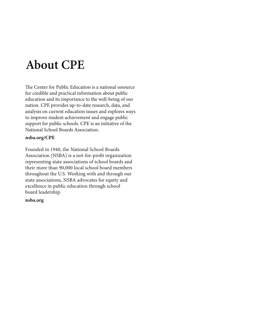# **About CPE**

The Center for Public Education is a national resource for credible and practical information about public education and its importance to the well-being of our nation. CPE provides up-to-date research, data, and analysis on current education issues and explores ways to improve student achievement and engage public support for public schools. CPE is an initiative of the National School Boards Association.

#### **nsba.org/CPE**

Founded in 1940, the National School Boards Association (NSBA) is a not-for-profit organization representing state associations of school boards and their more than 90,000 local school board members throughout the U.S. Working with and through our state associations, NSBA advocates for equity and excellence in public education through school board leadership.

#### **nsba.org**